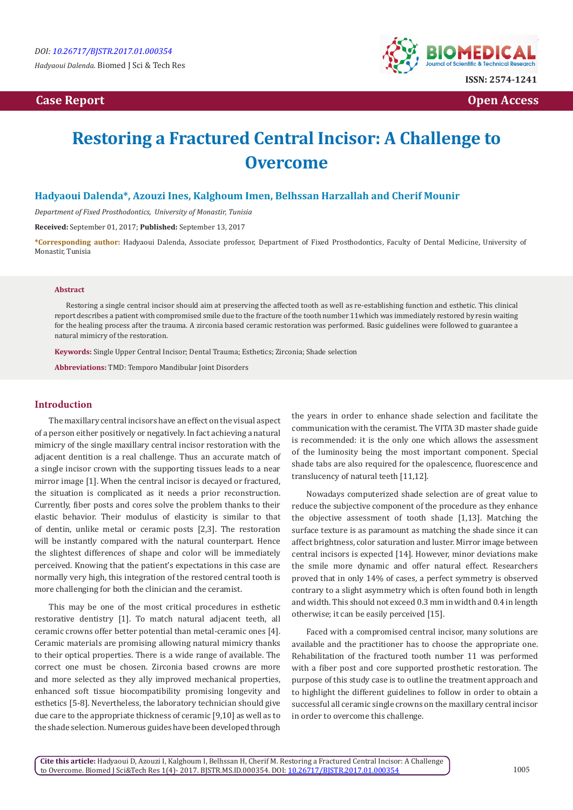*Hadyaoui Dalenda.* Biomed J Sci & Tech Res

*Case Report* **Open Access <b>Case Report** Open Access *Case Report* 



# **Restoring a Fractured Central Incisor: A Challenge to Overcome**

# **Hadyaoui Dalenda\*, Azouzi Ines, Kalghoum Imen, Belhssan Harzallah and Cherif Mounir**

*Department of Fixed Prosthodontics, University of Monastir, Tunisia*

**Received:** September 01, 2017; **Published:** September 13, 2017

**\*Corresponding author:** Hadyaoui Dalenda, Associate professor, Department of Fixed Prosthodontics, Faculty of Dental Medicine, University of Monastir, Tunisia

#### **Abstract**

Restoring a single central incisor should aim at preserving the affected tooth as well as re-establishing function and esthetic. This clinical report describes a patient with compromised smile due to the fracture of the tooth number 11which was immediately restored by resin waiting for the healing process after the trauma. A zirconia based ceramic restoration was performed. Basic guidelines were followed to guarantee a natural mimicry of the restoration.

**Keywords:** Single Upper Central Incisor; Dental Trauma; Esthetics; Zirconia; Shade selection

**Abbreviations:** TMD: Temporo Mandibular Joint Disorders

#### **Introduction**

The maxillary central incisors have an effect on the visual aspect of a person either positively or negatively. In fact achieving a natural mimicry of the single maxillary central incisor restoration with the adjacent dentition is a real challenge. Thus an accurate match of a single incisor crown with the supporting tissues leads to a near mirror image [1]. When the central incisor is decayed or fractured, the situation is complicated as it needs a prior reconstruction. Currently, fiber posts and cores solve the problem thanks to their elastic behavior. Their modulus of elasticity is similar to that of dentin, unlike metal or ceramic posts [2,3]. The restoration will be instantly compared with the natural counterpart. Hence the slightest differences of shape and color will be immediately perceived. Knowing that the patient's expectations in this case are normally very high, this integration of the restored central tooth is more challenging for both the clinician and the ceramist.

This may be one of the most critical procedures in esthetic restorative dentistry [1]. To match natural adjacent teeth, all ceramic crowns offer better potential than metal-ceramic ones [4]. Ceramic materials are promising allowing natural mimicry thanks to their optical properties. There is a wide range of available. The correct one must be chosen. Zirconia based crowns are more and more selected as they ally improved mechanical properties, enhanced soft tissue biocompatibility promising longevity and esthetics [5-8]. Nevertheless, the laboratory technician should give due care to the appropriate thickness of ceramic [9,10] as well as to the shade selection. Numerous guides have been developed through

the years in order to enhance shade selection and facilitate the communication with the ceramist. The VITA 3D master shade guide is recommended: it is the only one which allows the assessment of the luminosity being the most important component. Special shade tabs are also required for the opalescence, fluorescence and translucency of natural teeth [11,12].

Nowadays computerized shade selection are of great value to reduce the subjective component of the procedure as they enhance the objective assessment of tooth shade [1,13]. Matching the surface texture is as paramount as matching the shade since it can affect brightness, color saturation and luster. Mirror image between central incisors is expected [14]. However, minor deviations make the smile more dynamic and offer natural effect. Researchers proved that in only 14% of cases, a perfect symmetry is observed contrary to a slight asymmetry which is often found both in length and width. This should not exceed 0.3 mm in width and 0.4 in length otherwise; it can be easily perceived [15].

Faced with a compromised central incisor, many solutions are available and the practitioner has to choose the appropriate one. Rehabilitation of the fractured tooth number 11 was performed with a fiber post and core supported prosthetic restoration. The purpose of this study case is to outline the treatment approach and to highlight the different guidelines to follow in order to obtain a successful all ceramic single crowns on the maxillary central incisor in order to overcome this challenge.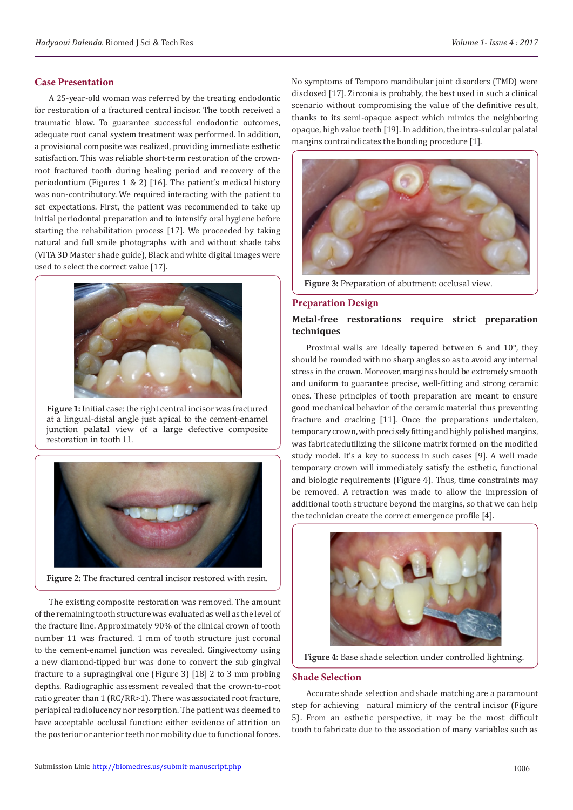# **Case Presentation**

A 25-year-old woman was referred by the treating endodontic for restoration of a fractured central incisor. The tooth received a traumatic blow. To guarantee successful endodontic outcomes, adequate root canal system treatment was performed. In addition, a provisional composite was realized, providing immediate esthetic satisfaction. This was reliable short-term restoration of the crownroot fractured tooth during healing period and recovery of the periodontium (Figures 1 & 2) [16]. The patient's medical history was non-contributory. We required interacting with the patient to set expectations. First, the patient was recommended to take up initial periodontal preparation and to intensify oral hygiene before starting the rehabilitation process [17]. We proceeded by taking natural and full smile photographs with and without shade tabs (VITA 3D Master shade guide), Black and white digital images were used to select the correct value [17].



**Figure 1:** Initial case: the right central incisor was fractured at a lingual-distal angle just apical to the cement-enamel junction palatal view of a large defective composite restoration in tooth 11.



**Figure 2:** The fractured central incisor restored with resin.

The existing composite restoration was removed. The amount of the remaining tooth structure was evaluated as well as the level of the fracture line. Approximately 90% of the clinical crown of tooth number 11 was fractured. 1 mm of tooth structure just coronal to the cement-enamel junction was revealed. Gingivectomy using a new diamond-tipped bur was done to convert the sub gingival fracture to a supragingival one (Figure 3) [18] 2 to 3 mm probing depths. Radiographic assessment revealed that the crown-to-root ratio greater than 1 (RC/RR>1). There was associated root fracture, periapical radiolucency nor resorption. The patient was deemed to have acceptable occlusal function: either evidence of attrition on the posterior or anterior teeth nor mobility due to functional forces.

No symptoms of Temporo mandibular joint disorders (TMD) were disclosed [17]. Zirconia is probably, the best used in such a clinical scenario without compromising the value of the definitive result, thanks to its semi-opaque aspect which mimics the neighboring opaque, high value teeth [19]. In addition, the intra-sulcular palatal margins contraindicates the bonding procedure [1].



**Figure 3:** Preparation of abutment: occlusal view.

#### **Preparation Design**

#### **Metal-free restorations require strict preparation techniques**

Proximal walls are ideally tapered between 6 and 10°, they should be rounded with no sharp angles so as to avoid any internal stress in the crown. Moreover, margins should be extremely smooth and uniform to guarantee precise, well-fitting and strong ceramic ones. These principles of tooth preparation are meant to ensure good mechanical behavior of the ceramic material thus preventing fracture and cracking [11]. Once the preparations undertaken, temporary crown, with precisely fitting and highly polished margins, was fabricatedutilizing the silicone matrix formed on the modified study model. It's a key to success in such cases [9]. A well made temporary crown will immediately satisfy the esthetic, functional and biologic requirements (Figure 4). Thus, time constraints may be removed. A retraction was made to allow the impression of additional tooth structure beyond the margins, so that we can help the technician create the correct emergence profile [4].



**Figure 4:** Base shade selection under controlled lightning.

# **Shade Selection**

Accurate shade selection and shade matching are a paramount step for achieving natural mimicry of the central incisor (Figure 5). From an esthetic perspective, it may be the most difficult tooth to fabricate due to the association of many variables such as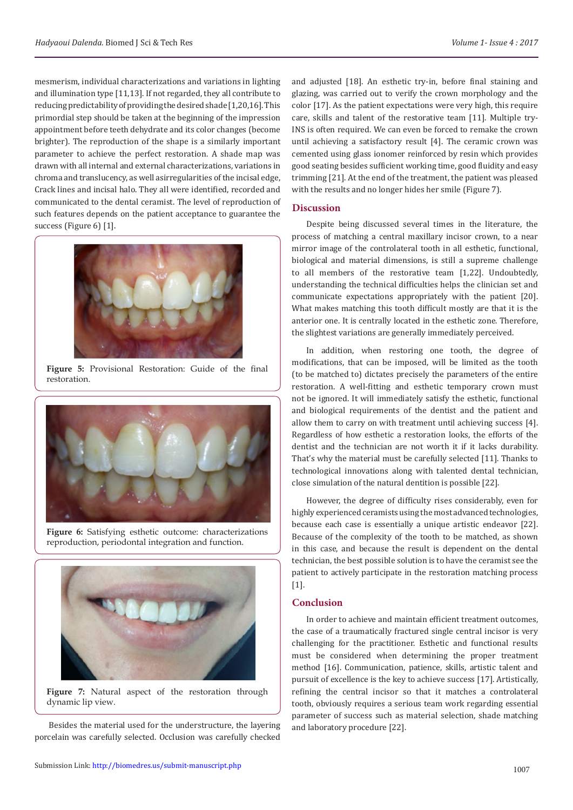mesmerism, individual characterizations and variations in lighting and illumination type [11,13]. If not regarded, they all contribute to reducing predictability of providing the desired shade [1,20,16]. This primordial step should be taken at the beginning of the impression appointment before teeth dehydrate and its color changes (become brighter). The reproduction of the shape is a similarly important parameter to achieve the perfect restoration. A shade map was drawn with all internal and external characterizations, variations in chroma and translucency, as well asirregularities of the incisal edge, Crack lines and incisal halo. They all were identified, recorded and communicated to the dental ceramist. The level of reproduction of such features depends on the patient acceptance to guarantee the success (Figure 6) [1].



**Figure 5:** Provisional Restoration: Guide of the final restoration.



**Figure 6:** Satisfying esthetic outcome: characterizations reproduction, periodontal integration and function.



**Figure 7:** Natural aspect of the restoration through dynamic lip view.

Besides the material used for the understructure, the layering porcelain was carefully selected. Occlusion was carefully checked

and adjusted [18]. An esthetic try-in, before final staining and glazing, was carried out to verify the crown morphology and the color [17]. As the patient expectations were very high, this require care, skills and talent of the restorative team [11]. Multiple try-INS is often required. We can even be forced to remake the crown until achieving a satisfactory result [4]. The ceramic crown was cemented using glass ionomer reinforced by resin which provides good seating besides sufficient working time, good fluidity and easy trimming [21]. At the end of the treatment, the patient was pleased with the results and no longer hides her smile (Figure 7).

#### **Discussion**

Despite being discussed several times in the literature, the process of matching a central maxillary incisor crown, to a near mirror image of the controlateral tooth in all esthetic, functional, biological and material dimensions, is still a supreme challenge to all members of the restorative team [1,22]. Undoubtedly, understanding the technical difficulties helps the clinician set and communicate expectations appropriately with the patient [20]. What makes matching this tooth difficult mostly are that it is the anterior one. It is centrally located in the esthetic zone. Therefore, the slightest variations are generally immediately perceived.

In addition, when restoring one tooth, the degree of modifications, that can be imposed, will be limited as the tooth (to be matched to) dictates precisely the parameters of the entire restoration. A well-fitting and esthetic temporary crown must not be ignored. It will immediately satisfy the esthetic, functional and biological requirements of the dentist and the patient and allow them to carry on with treatment until achieving success [4]. Regardless of how esthetic a restoration looks, the efforts of the dentist and the technician are not worth it if it lacks durability. That's why the material must be carefully selected [11]. Thanks to technological innovations along with talented dental technician, close simulation of the natural dentition is possible [22].

However, the degree of difficulty rises considerably, even for highly experienced ceramists using the most advanced technologies, because each case is essentially a unique artistic endeavor [22]. Because of the complexity of the tooth to be matched, as shown in this case, and because the result is dependent on the dental technician, the best possible solution is to have the ceramist see the patient to actively participate in the restoration matching process [1].

# **Conclusion**

In order to achieve and maintain efficient treatment outcomes, the case of a traumatically fractured single central incisor is very challenging for the practitioner. Esthetic and functional results must be considered when determining the proper treatment method [16]. Communication, patience, skills, artistic talent and pursuit of excellence is the key to achieve success [17]. Artistically, refining the central incisor so that it matches a controlateral tooth, obviously requires a serious team work regarding essential parameter of success such as material selection, shade matching and laboratory procedure [22].